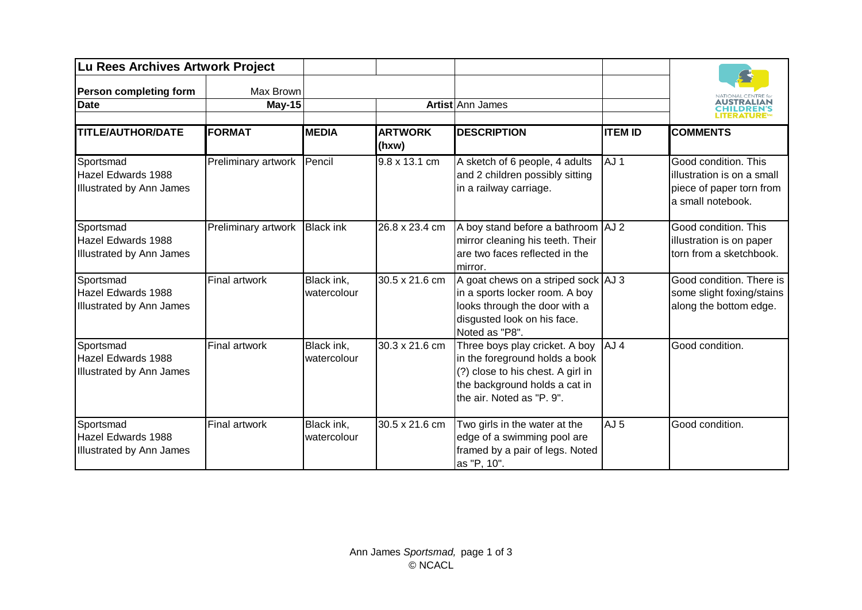| Lu Rees Archives Artwork Project                                   |                      |                           |                         |                                                                                                                                                                     |                 | AUSTRALIAN<br><b>CHILDREN'S</b>                                                                     |
|--------------------------------------------------------------------|----------------------|---------------------------|-------------------------|---------------------------------------------------------------------------------------------------------------------------------------------------------------------|-----------------|-----------------------------------------------------------------------------------------------------|
| <b>Person completing form</b>                                      | Max Brown            |                           |                         |                                                                                                                                                                     |                 |                                                                                                     |
| <b>Date</b>                                                        | <b>May-15</b>        |                           | Artist Ann James        |                                                                                                                                                                     |                 |                                                                                                     |
| <b>TITLE/AUTHOR/DATE</b>                                           | <b>FORMAT</b>        | <b>MEDIA</b>              | <b>ARTWORK</b><br>(hxw) | <b>DESCRIPTION</b>                                                                                                                                                  | <b>ITEM ID</b>  | <b>COMMENTS</b>                                                                                     |
| Sportsmad<br>Hazel Edwards 1988<br>Illustrated by Ann James        | Preliminary artwork  | Pencil                    | 9.8 x 13.1 cm           | A sketch of 6 people, 4 adults<br>and 2 children possibly sitting<br>in a railway carriage.                                                                         | AJ <sub>1</sub> | Good condition. This<br>illustration is on a small<br>piece of paper torn from<br>a small notebook. |
| Sportsmad<br>Hazel Edwards 1988<br><b>Illustrated by Ann James</b> | Preliminary artwork  | <b>Black ink</b>          | 26.8 x 23.4 cm          | A boy stand before a bathroom   AJ 2<br>mirror cleaning his teeth. Their<br>are two faces reflected in the<br>mirror.                                               |                 | Good condition. This<br>illustration is on paper<br>torn from a sketchbook.                         |
| Sportsmad<br>Hazel Edwards 1988<br>Illustrated by Ann James        | <b>Final artwork</b> | Black ink,<br>watercolour | 30.5 x 21.6 cm          | A goat chews on a striped sock AJ 3<br>in a sports locker room. A boy<br>looks through the door with a<br>disgusted look on his face.<br>Noted as "P8".             |                 | Good condition. There is<br>some slight foxing/stains<br>along the bottom edge.                     |
| Sportsmad<br>Hazel Edwards 1988<br><b>Illustrated by Ann James</b> | <b>Final artwork</b> | Black ink,<br>watercolour | 30.3 x 21.6 cm          | Three boys play cricket. A boy<br>in the foreground holds a book<br>(?) close to his chest. A girl in<br>the background holds a cat in<br>the air. Noted as "P. 9". | AJ <sub>4</sub> | Good condition.                                                                                     |
| Sportsmad<br>Hazel Edwards 1988<br>Illustrated by Ann James        | <b>Final artwork</b> | Black ink,<br>watercolour | 30.5 x 21.6 cm          | Two girls in the water at the<br>edge of a swimming pool are<br>framed by a pair of legs. Noted<br>as "P, 10".                                                      | AJ <sub>5</sub> | Good condition.                                                                                     |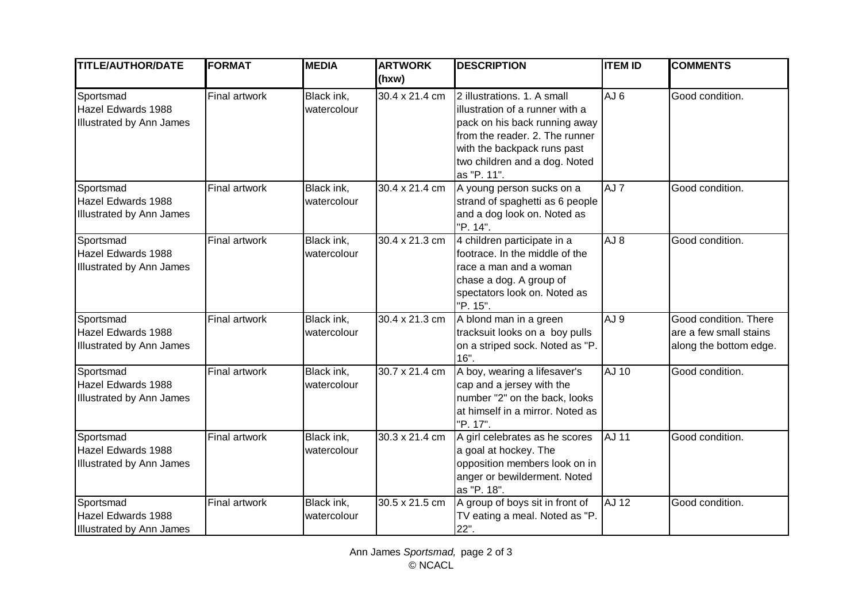| <b>TITLE/AUTHOR/DATE</b>                                           | <b>FORMAT</b>        | <b>MEDIA</b>              | <b>ARTWORK</b> | <b>DESCRIPTION</b>                                                                                                                                                                                               | <b>ITEM ID</b>  | <b>COMMENTS</b>                                                           |
|--------------------------------------------------------------------|----------------------|---------------------------|----------------|------------------------------------------------------------------------------------------------------------------------------------------------------------------------------------------------------------------|-----------------|---------------------------------------------------------------------------|
|                                                                    |                      |                           | (hxw)          |                                                                                                                                                                                                                  |                 |                                                                           |
| Sportsmad<br>Hazel Edwards 1988<br><b>Illustrated by Ann James</b> | <b>Final artwork</b> | Black ink,<br>watercolour | 30.4 x 21.4 cm | 2 illustrations. 1. A small<br>illustration of a runner with a<br>pack on his back running away<br>from the reader. 2. The runner<br>with the backpack runs past<br>two children and a dog. Noted<br>as "P. 11". | AJ <sub>6</sub> | Good condition.                                                           |
| Sportsmad<br>Hazel Edwards 1988<br><b>Illustrated by Ann James</b> | Final artwork        | Black ink,<br>watercolour | 30.4 x 21.4 cm | A young person sucks on a<br>strand of spaghetti as 6 people<br>and a dog look on. Noted as<br>"P. 14".                                                                                                          | AJ <sub>7</sub> | Good condition.                                                           |
| Sportsmad<br>Hazel Edwards 1988<br><b>Illustrated by Ann James</b> | <b>Final artwork</b> | Black ink,<br>watercolour | 30.4 x 21.3 cm | 4 children participate in a<br>footrace. In the middle of the<br>race a man and a woman<br>chase a dog. A group of<br>spectators look on. Noted as<br>"P. 15".                                                   | AJ <sub>8</sub> | Good condition.                                                           |
| Sportsmad<br>Hazel Edwards 1988<br><b>Illustrated by Ann James</b> | Final artwork        | Black ink,<br>watercolour | 30.4 x 21.3 cm | A blond man in a green<br>tracksuit looks on a boy pulls<br>on a striped sock. Noted as "P.<br>16".                                                                                                              | AJ <sub>9</sub> | Good condition. There<br>are a few small stains<br>along the bottom edge. |
| Sportsmad<br>Hazel Edwards 1988<br>Illustrated by Ann James        | Final artwork        | Black ink,<br>watercolour | 30.7 x 21.4 cm | A boy, wearing a lifesaver's<br>cap and a jersey with the<br>number "2" on the back, looks<br>at himself in a mirror. Noted as<br>"P. 17".                                                                       | AJ 10           | Good condition.                                                           |
| Sportsmad<br>Hazel Edwards 1988<br>Illustrated by Ann James        | Final artwork        | Black ink,<br>watercolour | 30.3 x 21.4 cm | A girl celebrates as he scores<br>a goal at hockey. The<br>opposition members look on in<br>anger or bewilderment. Noted<br>as "P. 18".                                                                          | <b>AJ 11</b>    | Good condition.                                                           |
| Sportsmad<br>Hazel Edwards 1988<br><b>Illustrated by Ann James</b> | <b>Final artwork</b> | Black ink,<br>watercolour | 30.5 x 21.5 cm | A group of boys sit in front of<br>TV eating a meal. Noted as "P.<br>$22"$ .                                                                                                                                     | <b>AJ 12</b>    | Good condition.                                                           |